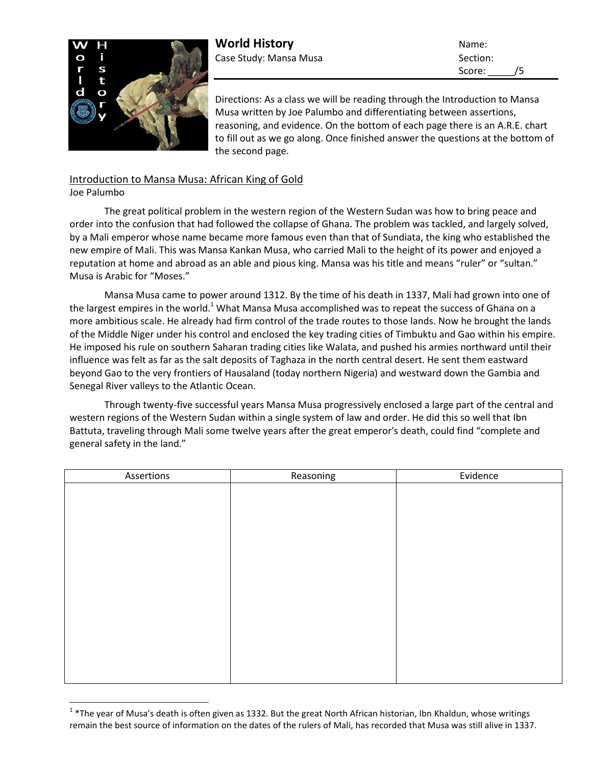

**World History** Name: Case Study: Mansa Musa Section:

Score: /5

Directions: As a class we will be reading through the Introduction to Mansa Musa written by Joe Palumbo and differentiating between assertions, reasoning, and evidence. On the bottom of each page there is an A.R.E. chart to fill out as we go along. Once finished answer the questions at the bottom of the second page.

## Introduction to Mansa Musa: African King of Gold

Joe Palumbo

l

The great political problem in the western region of the Western Sudan was how to bring peace and order into the confusion that had followed the collapse of Ghana. The problem was tackled, and largely solved, by a Mali emperor whose name became more famous even than that of Sundiata, the king who established the new empire of Mali. This was Mansa Kankan Musa, who carried Mali to the height of its power and enjoyed a reputation at home and abroad as an able and pious king. Mansa was his title and means "ruler" or "sultan." Musa is Arabic for "Moses."

Mansa Musa came to power around 1312. By the time of his death in 1337, Mali had grown into one of the largest empires in the world.<sup>1</sup> What Mansa Musa accomplished was to repeat the success of Ghana on a more ambitious scale. He already had firm control of the trade routes to those lands. Now he brought the lands of the Middle Niger under his control and enclosed the key trading cities of Timbuktu and Gao within his empire. He imposed his rule on southern Saharan trading cities like Walata, and pushed his armies northward until their influence was felt as far as the salt deposits of Taghaza in the north central desert. He sent them eastward beyond Gao to the very frontiers of Hausaland (today northern Nigeria) and westward down the Gambia and Senegal River valleys to the Atlantic Ocean.

Through twenty-five successful years Mansa Musa progressively enclosed a large part of the central and western regions of the Western Sudan within a single system of law and order. He did this so well that Ibn Battuta, traveling through Mali some twelve years after the great emperor's death, could find "complete and general safety in the land."

| Assertions | Reasoning | Evidence |
|------------|-----------|----------|
|            |           |          |
|            |           |          |
|            |           |          |
|            |           |          |
|            |           |          |
|            |           |          |
|            |           |          |
|            |           |          |
|            |           |          |
|            |           |          |
|            |           |          |
|            |           |          |
|            |           |          |
|            |           |          |
|            |           |          |

 $1$  \*The year of Musa's death is often given as 1332. But the great North African historian, Ibn Khaldun, whose writings remain the best source of information on the dates of the rulers of Mali, has recorded that Musa was still alive in 1337.